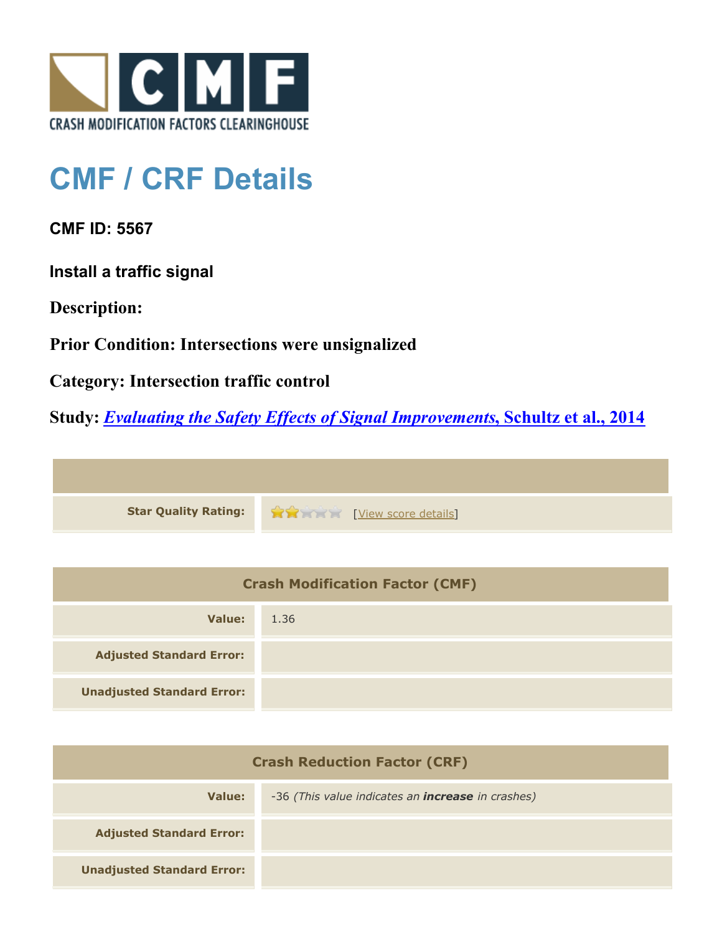

## **CMF / CRF Details**

**CMF ID: 5567**

**Install a traffic signal**

**Description:** 

**Prior Condition: Intersections were unsignalized**

**Category: Intersection traffic control**

**Study:** *[Evaluating the Safety Effects of Signal Improvements](http://www.cmfclearinghouse.org/study_detail.cfm?stid=364)***[, Schultz et al., 2014](http://www.cmfclearinghouse.org/study_detail.cfm?stid=364)**



| <b>Crash Modification Factor (CMF)</b> |      |
|----------------------------------------|------|
| Value:                                 | 1.36 |
| <b>Adjusted Standard Error:</b>        |      |
| <b>Unadjusted Standard Error:</b>      |      |

| <b>Crash Reduction Factor (CRF)</b> |                                                          |
|-------------------------------------|----------------------------------------------------------|
| Value:                              | -36 (This value indicates an <b>increase</b> in crashes) |
| <b>Adjusted Standard Error:</b>     |                                                          |
| <b>Unadjusted Standard Error:</b>   |                                                          |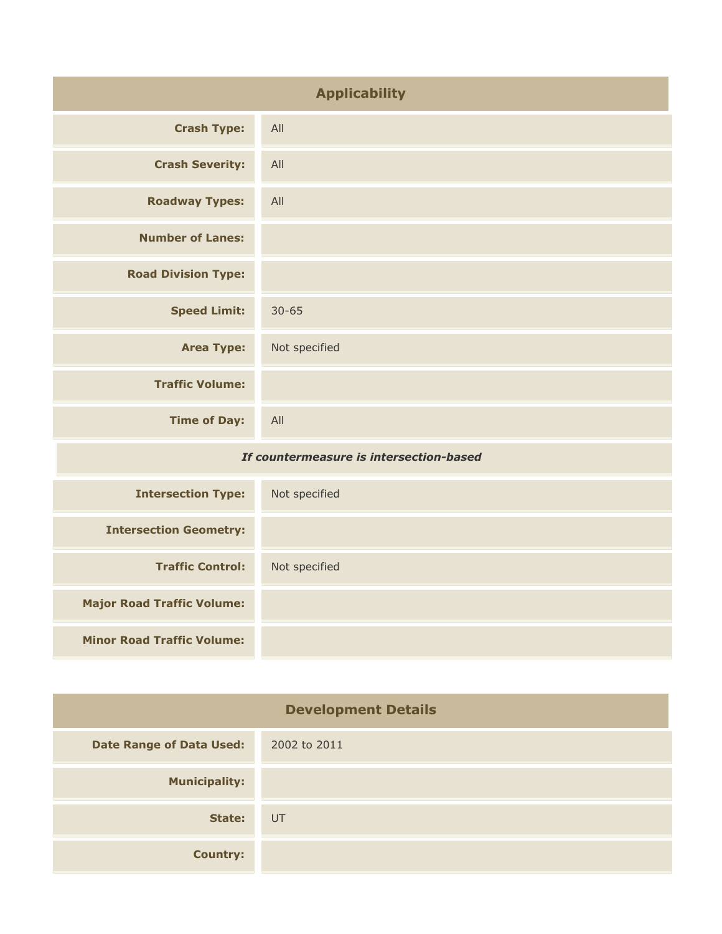| <b>Applicability</b>                    |               |
|-----------------------------------------|---------------|
| <b>Crash Type:</b>                      | All           |
| <b>Crash Severity:</b>                  | All           |
| <b>Roadway Types:</b>                   | All           |
| <b>Number of Lanes:</b>                 |               |
| <b>Road Division Type:</b>              |               |
| <b>Speed Limit:</b>                     | $30 - 65$     |
| <b>Area Type:</b>                       | Not specified |
| <b>Traffic Volume:</b>                  |               |
| <b>Time of Day:</b>                     | All           |
| If countermeasure is intersection-based |               |
| <b>Intersection Type:</b>               | Not specified |
| <b>Intersection Geometry:</b>           |               |
| <b>Traffic Control:</b>                 | Not specified |

|  | <b>Minor Road Traffic Volume:</b> |  |
|--|-----------------------------------|--|
|  |                                   |  |

**Major Road Traffic Volume:**

| <b>Development Details</b>      |              |
|---------------------------------|--------------|
| <b>Date Range of Data Used:</b> | 2002 to 2011 |
| <b>Municipality:</b>            |              |
| State:                          | UT           |
| <b>Country:</b>                 |              |